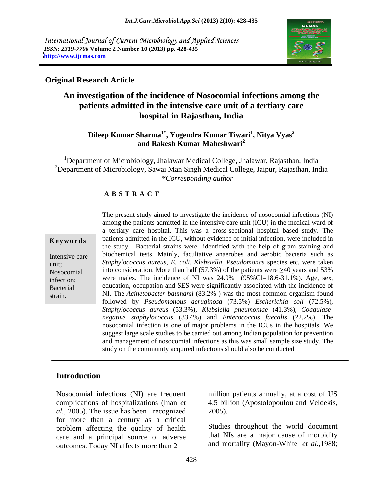International Journal of Current Microbiology and Applied Sciences *ISSN: 2319-7706* **Volume 2 Number 10 (2013) pp. 428-435 <http://www.ijcmas.com>**



### **Original Research Article**

# **An investigation of the incidence of Nosocomial infections among the patients admitted in the intensive care unit of a tertiary care hospital in Rajasthan, India**

### **Dileep Kumar Sharma1\* , Yogendra Kumar Tiwari<sup>1</sup> , Nitya Vyas<sup>2</sup> and Rakesh Kumar Maheshwari<sup>2</sup>**

1Department of Microbiology, Jhalawar Medical College, Jhalawar, Rajasthan, India <sup>2</sup>Department of Microbiology, Sawai Man Singh Medical College, Jaipur, Rajasthan, India *\*Corresponding author*

### **A B S T R A C T**

**Keywords** patients admitted in the ICU, without evidence of initial infection, were included in Intensive care biochemical tests. Mainly, facultative anaerobes and aerobic bacteria such as unit; *Staphylococcus aureus, E. coli, Klebsiella, Pseudomonas* species etc. were taken Nosocomial into consideration. More than half  $(57.3%)$  of the patients were  $\geq 40$  years and 53% infection; were males. The incidence of NI was  $24.9\%$  (95%CI=18.6-31.1%). Age, sex, Bacterial education, occupation and SES were significantly associated with the incidence of strain. NI. The *Acinetobacter baumanii* (83.2%) was the most common organism found The present study aimed to investigate the incidence of nosocomial infections(NI) among the patients admitted in the intensive care unit (ICU) in the medical ward of a tertiary care hospital. This was a cross-sectional hospital based study. The the study. Bacterial strains were identified with the help of gram staining and followed by *Pseudomonous aeruginosa* (73.5%) *Escherichia coli* (72.5%), *Staphylococcus aureus* (53.3%), *Klebsiella pneumoniae* (41.3%), *Coagulase negative staphylococcus* (33.4%) and *Enterococcus faecalis* (22.2%). The nosocomial infection is one of major problems in the ICUs in the hospitals. We suggest large scale studies to be carried out among Indian population for prevention and management of nosocomial infections as this was small sample size study. The study on the community acquired infections should also be conducted

## **Introduction**

Nosocomial infections (NI) are frequent million patients annually, at a cost of US complications of hospitalizations (Inan *et*  4.5 billion (Apostolopoulou and Veldekis, *al.,* 2005). The issue has been recognized for more than a century as a critical problem affecting the quality of health care and a principal source of adverse outcomes. Today NI affects more than 2

2005).

Studies throughout the world document that NIs are a major cause of morbidity and mortality (Mayon-White *et al.,*1988;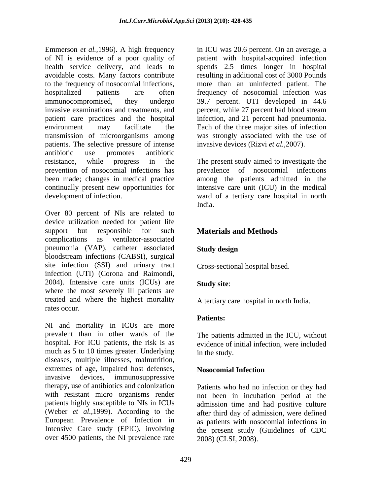Emmerson *et al.,*1996). A high frequency in ICU was 20.6 percent. On an average, a of NI is evidence of a poor quality of patient with hospital-acquired infection health service delivery, and leads to spends 2.5 times longer in hospital avoidable costs. Many factors contribute resulting in additional cost of 3000 Pounds to the frequency of nosocomial infections, hospitalized patients are often frequency of nosocomial infection was immunocompromised, they undergo 39.7 percent. UTI developed in 44.6 invasive examinations and treatments, and percent, while 27 percent had blood stream patient care practices and the hospital infection, and 21 percent had pneumonia. environment may facilitate the Each of the three major sites of infection transmission of microorganisms among patients. The selective pressure of intense antibiotic use promotes antibiotic resistance, while progress in the The present study aimed to investigate the prevention of nosocomial infections has prevalence of nosocomial infections been made; changes in medical practice among the patients admitted in the continually present new opportunities for intensive care unit (ICU) in the medical

Over 80 percent of NIs are related to device utilization needed for patient life support but responsible for such **Materials and Methods** complications as ventilator-associated pneumonia (VAP), catheter associated Study design bloodstream infections (CABSI), surgical site infection (SSI) and urinary tract infection (UTI) (Corona and Raimondi, 2004). Intensive care units (ICUs) are Study site: where the most severely ill patients are treated and where the highest mortality rates occur.

NI and mortality in ICUs are more prevalent than in other wards of the The patients admitted in the ICU, without hospital. For ICU patients, the risk is as much as 5 to 10 times greater. Underlying in the study. diseases, multiple illnesses, malnutrition, extremes of age, impaired host defenses, Nosocomial Infection invasive devices, immunosuppressive therapy, use of antibiotics and colonization Patients who had no infection or they had with resistant micro organisms render not been in incubation period at the patients highly susceptible to NIs in ICUs (Weber *et al.,*1999). According to the after third day of admission, were defined European Prevalence of Infection in as patients with nosocomial infections in Intensive Care study (EPIC), involving the present study (Guidelines of CDC over 4500 patients, the NI prevalence rate

more than an uninfected patient. The was strongly associated with the use of invasive devices (Rizvi *et al.,*2007).

development of infection. ward of a tertiary care hospital in north India.

# **Materials and Methods**

### **Study design**

Cross-sectional hospital based.

### **Study site**:

A tertiary care hospital in north India.

### **Patients:**

evidence of initial infection, were included in the study.

### **Nosocomial Infection**

admission time and had positive culture 2008) (CLSI, 2008).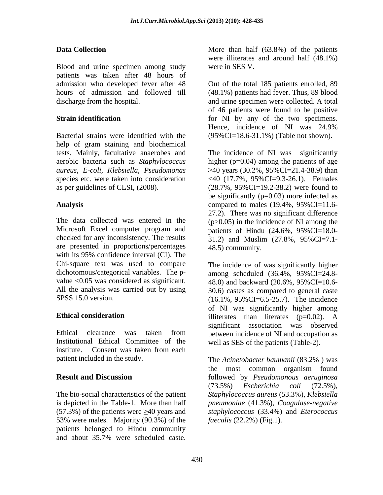Blood and urine specimen among study were in SES V. patients was taken after 48 hours of admission who developed fever after 48 Out of the total 185 patients enrolled, 89 hours of admission and followed till (48.1%) patients had fever. Thus, 89 blood discharge from the hospital. and urine specimen were collected. A total

help of gram staining and biochemical

are presented in proportions/percentages with its 95% confidence interval (CI). The Chi-square test was used to compare All the analysis was carried out by using

Institutional Ethical Committee of the institute. Consent was taken from each patient included in the study. The Acinetobacter baumanii (83.2%) was

53% were males. Majority (90.3%) of the patients belonged to Hindu community<br>and about 35.7% were scheduled caste.

**Data Collection** More than half (63.8%) of the patients were illiterates and around half (48.1%) were in SES V.

**Strain identification for** NI by any of the two specimens. Bacterial strains were identified with the (95%CI=18.6-31.1%) (Table not shown). of 46 patients were found to be positive Hence, incidence of NI was 24.9%

tests. Mainly, facultative anaerobes and The incidence of NI was significantly aerobic bacteria such as *Staphylococcus*  higher (p=0.04) among the patients of age *aureus, E-coli, Klebsiella, Pseudomonas* 40 years (30.2%, 95%CI=21.4-38.9) than species etc. were taken into consideration <40 (17.7%, 95%CI=9.3-26.1). Females as per guidelines of CLSI, (2008). (28.7%, 95%CI=19.2-38.2) were found to Analysis compared to males (19.4%, 95%CI=11.6-The data collected was entered in the  $(p>0.05)$  in the incidence of NI among the Microsoft Excel computer program and patients of Hindu (24.6%, 95%CI=18.0 checked for any inconsistency. The results 31.2) and Muslim (27.8%, 95%CI=7.1- Dutu Collection More hand the schedule of the patient of Soliton and the patient of the patient scheduled caste. Since the patient scheduled caste. Since the patient scheduled caste. Since the patient scheduled caste. Sin be significantly  $(p=0.03)$  more infected as 27.2). There was no significant difference 48.5) community.

dichotomous/categorical variables. The p- among scheduled (36.4%, 95%CI=24.8value  $\langle 0.05 \rangle$  was considered as significant. 48.0) and backward (20.6%, 95%CI=10.6-SPSS 15.0 version. (16.1%, 95%CI=6.5-25.7). The incidence **Ethical consideration** illiterates than literates (p=0.02). A Ethical clearance was taken from between incidence of NI and occupation as The incidence of was significantly higher 30.6) castes as compared to general caste of NI was significantly higher among illiterates than literates (p=0.02). A significant association was observed well as SES of the patients (Table-2).

**Result and Discussion** followed by *Pseudomonous aeruginosa* The bio-social characteristics of the patient *Staphylococcus aureus* (53.3%), *Klebsiella*  is depicted in the Table-1. More than half *pneumoniae* (41.3%), *Coagulase-negative*  (57.3%) of the patients were 40 years and *staphylococcus* (33.4%) and *Eterococcus*  The *Acinetobacter baumanii* (83.2% ) was the most common organism found (73.5%) *Escherichia coli* (72.5%), *faecalis* (22.2%) (Fig.1).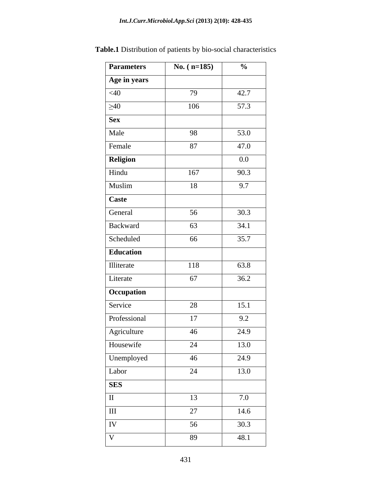| <b>Parameters</b>   | No. $(n=185)$ | $\frac{0}{0}$ |
|---------------------|---------------|---------------|
| Age in years        |               |               |
| $<$ 40              | 79            | 42.7          |
| $\geq 40$           | 106           | 57.3          |
| <b>Sex</b>          |               |               |
| Male                | 98            | 53.0          |
| Female              | 87            | 47.0          |
| <b>Religion</b>     |               | $0.0\,$       |
| Hindu               | 167           | 90.3          |
| Muslim              | 18            | 9.7           |
| Caste               |               |               |
|                     |               |               |
| General<br>Backward | 56            | 30.3<br>34.1  |
|                     | 63            |               |
| Scheduled           | 66            | 35.7          |
| Education           |               |               |
| Illiterate          | 118           | 63.8          |
| Literate            | 67            | 36.2          |
| Occupation          |               |               |
| Service             | 28            | 15.1          |
| Professional        | 17            | 9.2           |
| Agriculture         | 46            | 24.9          |
| Housewife           | 24            | 13.0          |
| Unemployed          | 46            | 24.9          |
| Labor               | 24            | 13.0          |
| <b>SES</b>          |               |               |
|                     | 13            | 7.0           |
| $\vert$ III         | 27            | 14.6          |
| IV                  | 56            | 30.3          |
| $\bf{V}$            | 89            | 48.1          |
|                     |               |               |

**Table.1** Distribution of patients by bio-social characteristics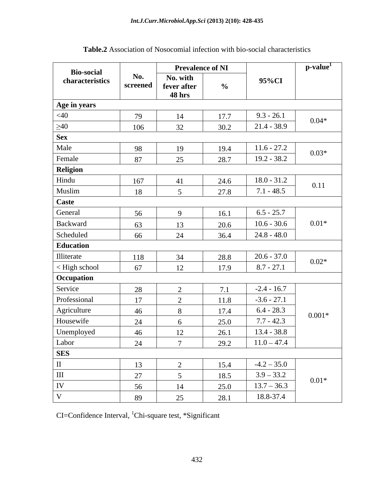|                                      |          | <b>Prevalence of NI</b>      |                |                                  | $p$ -value $^{1}$ |
|--------------------------------------|----------|------------------------------|----------------|----------------------------------|-------------------|
| <b>Bio-social</b><br>characteristics | No.      | No. with                     |                | 95%CI                            |                   |
|                                      | screened | fever after<br><b>48 hrs</b> | $\frac{6}{10}$ |                                  |                   |
|                                      |          |                              |                |                                  |                   |
| Age in years<br>$<$ 40               | 79       | 14                           | 17.7           | $9.3 - 26.1$                     |                   |
| $\geq 40$                            | 106      | 32                           | 30.2           | $21.4 - 38.9$                    | $0.04*$           |
| <b>Sex</b>                           |          |                              |                |                                  |                   |
| Male                                 | 98       | 19                           | 19.4           | $11.6 - 27.2$                    |                   |
| Female                               | 87       | 25                           | 28.7           | $19.2 - 38.2$                    | $0.03*$           |
| Religion                             |          |                              |                |                                  |                   |
| Hindu                                | 167      |                              | 24.6           | $18.0 - 31.2$                    |                   |
| Muslim                               | 18       |                              | 27.8           | $7.1 - 48.5$                     | 0.11              |
| Caste                                |          |                              |                |                                  |                   |
| General                              | 56       |                              | 16.1           | $6.5 - 25.7$                     |                   |
| Backward                             | 63       |                              | 20.6           | $10.6 - 30.6$                    | $0.01*$           |
| Scheduled                            | 66       | 24                           | 36.4           | $24.8 - 48.0$                    |                   |
| Education                            |          |                              |                |                                  |                   |
|                                      | 118      | $\frac{34}{1}$               | 28.8           | $20.6 - 37.0$                    | $0.02*$           |
| Illiterate<br>< High school          | 67       | 12 <sup>1</sup>              | 17.9           | $8.7 - 27.1$                     |                   |
| Occupation                           |          |                              |                |                                  |                   |
| Service                              | 28       |                              | 7.1            | $-2.4 - 16.7$                    |                   |
| Professional                         | 17       | $\sim$                       | 11.8           | $-3.6 - 27.1$                    |                   |
| Agriculture                          | 46       | 8 <sup>8</sup>               | 17.4           | $6.4 - 28.3$                     | $0.001*$          |
| Housewife                            | 24       |                              | 25.0           | $7.7 - 42.3$                     |                   |
| Unemployed                           | 46       | 12                           | 26.1           | $13.4 - 38.8$                    |                   |
| Labor<br>SES                         |          |                              |                | $24$ 7 29.2 11.0 - 47.4          |                   |
|                                      |          |                              |                |                                  |                   |
|                                      | 13       |                              | 15.4           | $-4.2 - 35.0$                    |                   |
| III                                  | 27       |                              | 18.5           | $\frac{3.9 - 33.2}{13.7 - 36.3}$ | $0.01*$           |
| IV                                   | 56       | 14                           | 25.0           |                                  |                   |
|                                      | 89       | 25                           | 28.1           | 18.8-37.4                        |                   |

| Table.2 As:<br>2 Association of Nosocomial infection with bio-social<br>l characteristics |  |
|-------------------------------------------------------------------------------------------|--|
|-------------------------------------------------------------------------------------------|--|

CI=Confidence Interval, <sup>1</sup>Chi-square test, \*Significant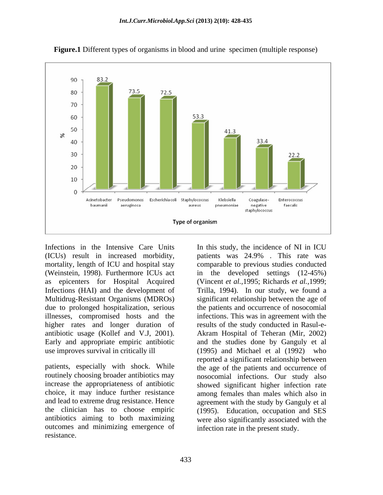

**Figure.1** Different types of organisms in blood and urine specimen (multiple response)

Infections in the Intensive Care Units In this study, the incidence of NI in ICU (ICUs) result in increased morbidity, mortality, length of ICU and hospital stay comparable to previous studies conducted (Weinstein, 1998). Furthermore ICUs act in the developed settings (12-45%) as epicenters for Hospital Acquired (Vincent *et al.,*1995; Richards *et al.,*1999; Infections (HAI) and the development of Trilla, 1994). In our study, we found a Multidrug-Resistant Organisms (MDROs) due to prolonged hospitalization, serious illnesses, compromised hosts and the infections. This was in agreement with the higher rates and longer duration of results of the study conducted in Rasul-eantibiotic usage (Kollef and V.J, 2001). Akram Hospital of Teheran (Mir, 2002) Early and appropriate empiric antibiotic and the studies done by Ganguly et al

antibiotics aiming to both maximizing outcomes and minimizing emergence of resistance.

use improves survival in critically ill (1995) and Michael et al (1992) who patients, especially with shock. While the age of the patients and occurrence of routinely choosing broader antibiotics may nosocomial infections. Our study also increase the appropriateness of antibiotic showed significant higher infection rate choice, it may induce further resistance among females than males which also in and lead to extreme drug resistance. Hence agreement with the study by Ganguly et al the clinician has to choose empiric (1995). Education, occupation and SES patients was 24.9% . This rate was significant relationship between the age of the patients and occurrence of nosocomial reported a significant relationship between were also significantly associated with the infection rate in the present study.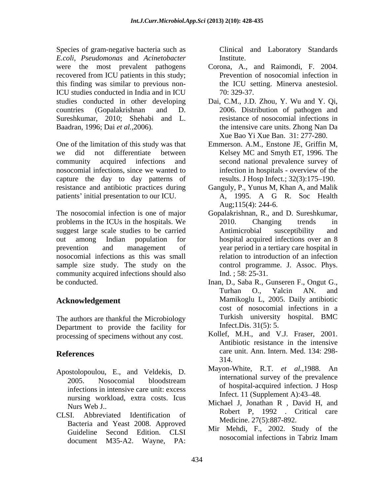Species of gram-negative bacteria such as *E.coli*, *Pseudomonas* and *Acinetobacter* recovered from ICU patients in this study; this finding was similar to previous non-ICU studies conducted in India and in ICU Sureshkumar, 2010; Shehabi and L.

One of the limitation of this study was that we did not differentiate between Kelsey MC and Smyth ET, 1996. The community acquired infections and second national prevalence survey of nosocomial infections, since we wanted to capture the day to day patterns of resistance and antibiotic practices during Ganguly, P., Yunus M, Khan A, and Malik patients' initial presentation to our ICU. A, 1995. A G R. Soc Health

The nosocomial infection is one of major Gopalakrishnan, R., and D. Sureshkumar, problems in the ICUs in the hospitals. We  $2010$ . Changing trends in suggest large scale studies to be carried Antimicrobial susceptibility and out among Indian population for hospital acquired infections over an 8 prevention and management of year period in a tertiary care hospital in nosocomial infections as this was small sample size study. The study on the community acquired infections should also

The authors are thankful the Microbiology Department to provide the facility for processing of specimens without any cost.

- Apostolopoulou, E., and Veldekis, D. infections in intensive care unit: excess nursing workload, extra costs. Icus
- CLSI. Abbreviated Identification of Bacteria and Yeast 2008. Approved document M35-A2. Wayne, PA:

Clinical and Laboratory Standards Institute.

- were the most prevalent pathogens Corona, A., and Raimondi, F. 2004. Prevention of nosocomial infection in the ICU setting. Minerva anestesiol. 70: 329-37.
- studies conducted in other developing Dai, C.M., J.D. Zhou, Y. Wu and Y. Qi, countries (Gopalakrishnan and D. 2006. Distribution of pathogen and Baadran, 1996; Dai *et al.,*2006). the intensive care units. Zhong Nan Da resistance of nosocomial infections in Xue Bao Yi Xue Ban. 31: 277-280.
	- Emmerson. A.M., Enstone JE, Griffin M, infection in hospitals - overview of the results. J Hosp Infect.; 32(3):175–190.
	- A, 1995. A G R. Soc Health Aug;115(4): 244-6.
	- 2010. Changing trends in Antimicrobial susceptibility and relation to introduction of an infection control programme. J. Assoc. Phys. Ind. ; 58: 25-31.
- be conducted. Inan, D., Saba R., Gunseren F., Ongut G., **Acknowledgement**  Mamikoglu L, 2005. Daily antibiotic Turhan O., Yalcin AN. and cost of nosocomial infections in a Turkish university hospital. BMC Infect.Dis. 31(5): 5.
- **References** care unit. Ann. Intern. Med. 134: 298- Kollef, M.H., and V.J. Fraser, 2001. Antibiotic resistance in the intensive 314.
	- 2005. Nosocomial bloodstream international survey of the prevalence Mayon-White, R.T. *et al.,*1988. An international survey of the prevalence of hospital-acquired infection. J Hosp Infect. 11 (Supplement A):  $43-48$ .
	- Michael J, Jonathan R, David H, and<br>Nurs Web J.. Robert P, 1992 . Critical care Medicine. 27(5):887-892.
	- Guideline Second Edition. CLSI MILL METHOD, P., 2002. Study of the Mir Mehdi, F., 2002. Study of the nosocomial infections in Tabriz Imam